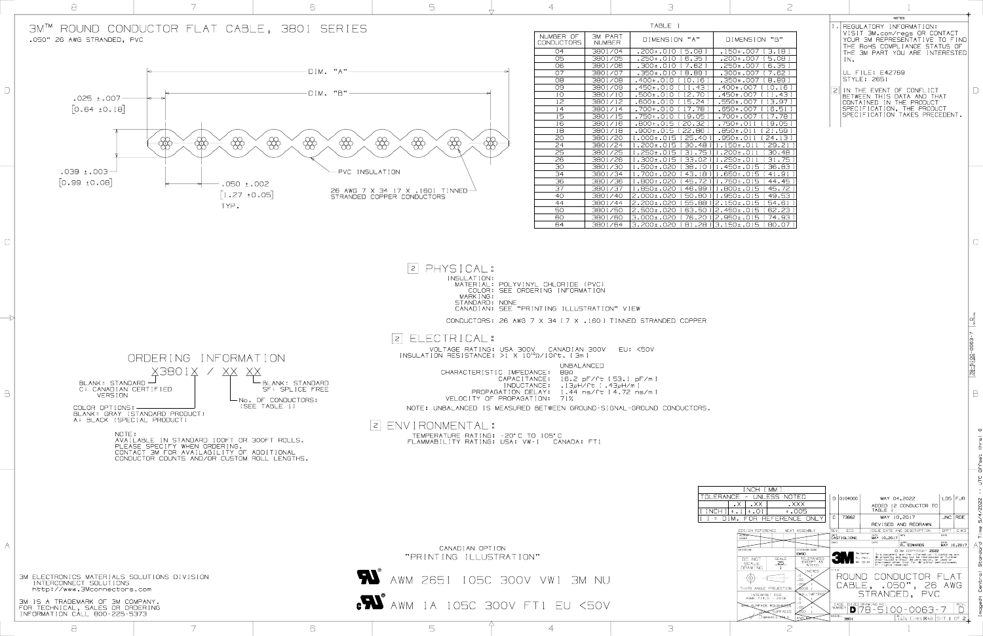MATERIAL: POLYVINYL CHLORIDE (PVC) COLOR: SEE ORDERING INFORMATION STANDARD: NONE CANADIAN: SEE "PRINTING ILLUSTRATION" VIEW CONDUCTORS: 26 AWG 7 VOLTAGE RATING: USA 300V CANADIAN 300V EU: <50V INSULATION RESISTANCE: >1 X 10<sup>10</sup> CHARACTERISTIC IMPEDAN CAPACITAN

I NDUCTAI PROPAGATION DE VELOCITY OF PROPAGAT NOTE: UNBALANCED IS MEASURED

TEMPERATURE RATING: -20°C TO FLAMMABILITY RATING: USA: VW

| P                                                                                                                                                                                                                                                                                                                                                                                                                                                                                                                                                                             |                                                                                                                                                                                                                                                                                                                                                                                 |                                                                                                                                                                                                                                                                                                                                        |                                                                                                                                                                                                                                                                                                                                                                                                                                                                            |                                                                                                                                                                     |
|-------------------------------------------------------------------------------------------------------------------------------------------------------------------------------------------------------------------------------------------------------------------------------------------------------------------------------------------------------------------------------------------------------------------------------------------------------------------------------------------------------------------------------------------------------------------------------|---------------------------------------------------------------------------------------------------------------------------------------------------------------------------------------------------------------------------------------------------------------------------------------------------------------------------------------------------------------------------------|----------------------------------------------------------------------------------------------------------------------------------------------------------------------------------------------------------------------------------------------------------------------------------------------------------------------------------------|----------------------------------------------------------------------------------------------------------------------------------------------------------------------------------------------------------------------------------------------------------------------------------------------------------------------------------------------------------------------------------------------------------------------------------------------------------------------------|---------------------------------------------------------------------------------------------------------------------------------------------------------------------|
| DIMENSION "B"<br>8 ]<br>.150±.007 [3.18]<br>5 ]<br>.200±.007 [5.08]<br>$\overline{2}$ ]<br>.250±.007 [6.35]<br>9 ]<br>.300±.007 [7.62 ]<br>161<br>.350±.007 [8.89]<br>13 J<br>.400±.007 [ 10.16 ]<br>70 ]<br>.450±.007 [ 11.43 ]<br>$\overline{24}$ ]<br>.550±.007 [13.97]<br>78 ]<br>.650±.007 [16.51 ]<br>)5 ]<br>.700±.007 [ 17.78 ]<br>32 I<br>$.750 \pm .011$<br>19.051<br>36 I<br>$.850 \pm .011$<br>[21.59]<br>40 ]<br>$.950 \pm .011$<br>[24.13]<br>48 ] <br>$1.150 \pm .011$<br>[29.21]<br>75 1<br>$1.200 \pm .011$<br>[30.48]<br>02 ] <br>$.250 \pm .011$<br>31.751 | $\perp$<br>$\mathcal{Z}_{\mathcal{C}}$                                                                                                                                                                                                                                                                                                                                          | REGULATORY INFORMATION:<br>VISIT 3M.com/regs OR CONTACT<br>YOUR 3M REPRESENTATIVE TO<br>THE ROHS COMPLIANCE STATUS OF<br>THE 3M PART YOU ARE INTERESTED<br>IN.<br>UL FILE: E42769<br><b>STYLE: 2651</b><br>THE EVENT OF CONFLICT<br>BETWEEN<br>THIS<br>IN<br>CONTAINED<br>SPECIFICATION, THE PRODUCT<br>SPECIFICATION TAKES PRECEDENT. | <b>NOTES</b><br>data and that<br>THE PRODUCT                                                                                                                                                                                                                                                                                                                                                                                                                               | FIND                                                                                                                                                                |
| $1 \circ 1$<br>1.450±.015 [36.83 ]<br>$18$ $1$<br>1.650±.015 [41.91 ]<br>72 ] 1.750±.015 [44.45 ]<br>99<br>1.800±.015<br>[ 45.72 ]<br>80<br>[49.53]<br>1.950±.015<br>88<br>$2.150 \pm .015$<br>[54.61]<br>50<br>[62.23]<br>$2.450 \pm .015$<br>20<br>$2.950 \pm .015$<br>[74.93]<br>28 ] 3.150±.015 [80.07 ]                                                                                                                                                                                                                                                                  |                                                                                                                                                                                                                                                                                                                                                                                 |                                                                                                                                                                                                                                                                                                                                        |                                                                                                                                                                                                                                                                                                                                                                                                                                                                            |                                                                                                                                                                     |
| ΕR                                                                                                                                                                                                                                                                                                                                                                                                                                                                                                                                                                            |                                                                                                                                                                                                                                                                                                                                                                                 |                                                                                                                                                                                                                                                                                                                                        |                                                                                                                                                                                                                                                                                                                                                                                                                                                                            | $-0063-7$<br><b>OOLE</b><br>$78 - 51$                                                                                                                               |
| RS.                                                                                                                                                                                                                                                                                                                                                                                                                                                                                                                                                                           |                                                                                                                                                                                                                                                                                                                                                                                 |                                                                                                                                                                                                                                                                                                                                        |                                                                                                                                                                                                                                                                                                                                                                                                                                                                            | $\circ$<br>(hrs)<br>dffset<br>UTC                                                                                                                                   |
| <b>INCH</b><br>MM 1<br><b>LERANCE</b><br><b>UNLESS</b><br><b>NOTED</b><br>TOI<br>$\mathsf{L} \mathsf{XXX}$<br>$\Box$ $\times\times$<br>$\Box$ $\times$<br><b>NCH</b><br>$\pm$ . 01<br>$\pm$ .005<br>$\pm$ .<br><b>REFERENCE</b><br>F<br>OR)<br>$\equiv$<br>$M$ .<br>DESIGN REFERENCE<br><b>ACCESS</b><br>CODES<br><b>DIVISION</b><br><b>SCALE</b><br>DO NOT<br><b>SCALE</b><br><b>DRAWING</b><br>THIRD ANGLE PROJECTION<br>INTERPRET PER<br>ASME Y14.5 - 2018<br>$\,$ O<br>MAX SURFACE ROUGHNESS<br>SURFACES                                                                  | 0104000<br>$\Box$<br>$\mathbb C$<br>ONLY<br><b>REV</b><br>NEXT ASSEMBLY<br>$\overline{\text{CAST}}$ I GL I ONE<br>CHKD<br>DIVISION CODE<br><b>EMSD</b><br>TOLERANCES<br>EXCEPT AS<br><b>NOTED</b><br>TITLE.<br><b>INCHES</b><br>$\circ$ O<br>.00.<br>.000<br>$+$<br>ර000 ±<br><b>NJLLIMETERS</b><br>$\circ$<br>CAGE<br>.002<br>$\pm$<br><b>NUMBER</b><br>න්00 ±<br><b>MODEL</b> | MAY 04,2022<br>TABLE 1<br>73662<br>MAY 10,2017<br>ECO<br>$MAY$ 10,2017<br>DATE<br>3M Center<br>St. Paul,<br>MN 55144<br>All rights reserved.<br>CABLE,<br>DRAWING NO.<br>SIZE<br>D<br>DE T                                                                                                                                             | ADDED 12 CONDUCTOR TO<br><b>JNC</b><br>REVISED AND REDRAWN<br>ISSUE DATE AND DESCRIPTION<br><b>DRFT</b><br>DATE<br><b>MFG</b><br>APPVL<br>DATE<br>R. EDWARDS<br>C 3M COPYRIGHT 2022<br>This document and the information it contains are<br>3M property and may not be reproduced or further<br>distributed without 3M permission, or used or<br>disclosed other than for 3M authorized purposes.<br>UNDUCTOR FI<br>.050", 26 AWG<br>STRANDED, PVC<br>$  /$<br>$( ) - ( )$ | $\mathbf{T}_\mathrm{c}$<br>$\mathbf{L}$<br>$LDS$ $FJR$<br>5/4/2022<br><b>RDE</b><br>Time<br>CHKD<br>$\Delta$ to<br>MAY 10,2017<br>Central Standar<br>maged:<br>REV. |

"PRINTING ILLUSTRATION"

,<br>AWM 2651 105C 300V VW1 3M NU

|                                               |                                                            | 3                                                                                            |                                                                                                                        |                                                                                                                                                                                                                                                             |                                           |
|-----------------------------------------------|------------------------------------------------------------|----------------------------------------------------------------------------------------------|------------------------------------------------------------------------------------------------------------------------|-------------------------------------------------------------------------------------------------------------------------------------------------------------------------------------------------------------------------------------------------------------|-------------------------------------------|
|                                               |                                                            | TABLE 1                                                                                      |                                                                                                                        | <b>NOTES</b><br>1. REGULATORY INFORMATION:                                                                                                                                                                                                                  |                                           |
| NUMBER OF                                     | <b>3M PART</b>                                             | DIMENSION "A"                                                                                | DIMENSION "B"                                                                                                          | VISIT 3M.com/regs OR CONTACT<br>YOUR 3M REPRESENTATIVE TO FIND                                                                                                                                                                                              |                                           |
| <b>CONDUCTORS</b><br>04                       | NUMBER<br>3801/04                                          | .200±.010 [5.08]                                                                             | .150±.007 [3.18]                                                                                                       | THE ROHS COMPLIANCE STATUS OF<br>THE 3M PART YOU ARE INTERESTED                                                                                                                                                                                             |                                           |
| 05<br>06                                      | 3801/05<br>3801/06                                         | .250±.010 [6.35]<br>.300±.010 [ 7.62 ]                                                       | .200±.007 [5.08]                                                                                                       | $IN$ .                                                                                                                                                                                                                                                      |                                           |
| 07                                            | 3801/07                                                    | .350±.010 [8.89]                                                                             | .250±.007 [6.35]<br>.300±.007 [ 7.62 ]                                                                                 | UL FILE: E42769                                                                                                                                                                                                                                             |                                           |
| 08<br>09                                      | 3801/08<br>3801/09                                         | $10.16$ ]<br>$.400 \pm .010$ [<br>$.450 \pm .010$<br>11.43                                   | .350±.007 [8.89]<br>$.400 \pm .007$ [10.16]                                                                            | <b>STYLE: 2651</b><br> 2 <br>IN THE EVENT OF CONFLICT                                                                                                                                                                                                       |                                           |
| 1 <sup>O</sup><br>12                          | 3801/10<br>3801/12                                         | 12.70<br>.500±.010<br>15.24<br>.600±.010                                                     | $.450 \pm .007$ [ 11.43<br>.550±.007 [13.97]                                                                           | BETWEEN THIS DATA AND THAT<br>CONTAINED IN THE PRODUCT                                                                                                                                                                                                      |                                           |
| 14                                            | 3801/14                                                    | $.700 \pm .010$<br>17.78                                                                     | .650±.007 [16.51]                                                                                                      | SPECIFICATION, THE PRODUCT<br>SPECIFICATION TAKES PRECEDENT.                                                                                                                                                                                                |                                           |
| 15<br>16                                      | 3801/15<br>3801/16                                         | .750±.010<br>19.05<br>20.32<br>.800±.015                                                     | .700±.007 [ 17.78<br>.750±.011 [19.05]                                                                                 |                                                                                                                                                                                                                                                             |                                           |
| 18<br>20                                      | 3801/18<br>3801/20                                         | $.900 \pm .015$<br>22.86<br>1.000±.015 [ 25.40 ]                                             | .B50±.011<br>[21.59]<br>$.950 \pm .011$<br>[24.13]                                                                     |                                                                                                                                                                                                                                                             |                                           |
| 24<br>25                                      | 3801/24<br>3801/25                                         | l.200±.015 [ 30.48<br>31.751<br>l.250±.015                                                   | $. 150 \pm .011$<br>[29.21]<br>$.200 \pm .011$<br>[30.48]                                                              |                                                                                                                                                                                                                                                             |                                           |
| 26                                            | 3801/26                                                    | l.300±.015<br>33.021                                                                         | $.250 \pm .011$<br>31.751                                                                                              |                                                                                                                                                                                                                                                             |                                           |
| 30<br>34                                      | 3801/30<br>3801/34                                         | .500±.020<br>38.101<br>[43.18]<br>l.700±.020                                                 | l.450±.015 [36.83]<br>.650±.015 [41.91                                                                                 |                                                                                                                                                                                                                                                             |                                           |
| 36<br>37                                      | 3801/36<br>3801/37                                         | $1.800\pm.020$ [ 45.72 ] $1.750\pm.015$ [ 44.45 ]<br>1.850±.020 [46.99 ] 1.800±.015 [45.72 ] |                                                                                                                        |                                                                                                                                                                                                                                                             |                                           |
| 40                                            | 3801/40                                                    | 2.000±.020 [50.80 ] 1.950±.015 [49.53]                                                       |                                                                                                                        |                                                                                                                                                                                                                                                             |                                           |
| 44<br>50                                      | 3801/44<br>3801/50                                         | 2.200±.020 [55.88 ] 2.150±.015 [54.61<br>2.500±.020 [ 63.50 ] 2.450±.015 [ 62.23 ]           |                                                                                                                        |                                                                                                                                                                                                                                                             |                                           |
| 60<br>64                                      | 3801/60<br>3801/64                                         | 3.000±.020 [ 76.20 ] 2.950±.015 [ 74.93 ]<br>3.200±.020 [81.28] 3.150±.015 [80.07]           |                                                                                                                        |                                                                                                                                                                                                                                                             |                                           |
|                                               |                                                            |                                                                                              |                                                                                                                        |                                                                                                                                                                                                                                                             |                                           |
|                                               |                                                            |                                                                                              |                                                                                                                        |                                                                                                                                                                                                                                                             |                                           |
|                                               |                                                            |                                                                                              |                                                                                                                        |                                                                                                                                                                                                                                                             |                                           |
|                                               |                                                            |                                                                                              |                                                                                                                        |                                                                                                                                                                                                                                                             |                                           |
| L CHLORIDE (PVC)                              |                                                            |                                                                                              |                                                                                                                        |                                                                                                                                                                                                                                                             |                                           |
| Ering information                             |                                                            |                                                                                              |                                                                                                                        |                                                                                                                                                                                                                                                             |                                           |
| NTING ILLUSTRATION" VIEW!                     |                                                            |                                                                                              |                                                                                                                        |                                                                                                                                                                                                                                                             |                                           |
|                                               |                                                            | 7 X 34 [ 7 X .160 ] TINNED STRANDED COPPER                                                   |                                                                                                                        |                                                                                                                                                                                                                                                             | $D_{\text{rel}}^{\text{max}}$             |
|                                               |                                                            |                                                                                              |                                                                                                                        |                                                                                                                                                                                                                                                             |                                           |
| v - canadian boov                             |                                                            | EU: <50V                                                                                     |                                                                                                                        |                                                                                                                                                                                                                                                             | 006                                       |
| $^{\circ}$ $\Omega$ /10ft. [3m]<br>UNBALANCED |                                                            |                                                                                              |                                                                                                                        |                                                                                                                                                                                                                                                             | <b>ODER</b>                               |
| NCE :<br>$B9\Omega$                           |                                                            |                                                                                              |                                                                                                                        |                                                                                                                                                                                                                                                             | $\frac{1}{2}$                             |
| .NCE :<br>NCE :                               | 16.2 pF/ft [53.1 pF/m ]<br>.13 $\mu$ H/ft [.43 $\mu$ H/m ] |                                                                                              |                                                                                                                        |                                                                                                                                                                                                                                                             |                                           |
| LAY:<br>71%                                   | 1.44 ns/ft [4.72 ns/m]                                     |                                                                                              |                                                                                                                        |                                                                                                                                                                                                                                                             | $\Box$                                    |
|                                               |                                                            | BETWEEN GROUND-SIGNAL-GROUND CONDUCTORS.                                                     |                                                                                                                        |                                                                                                                                                                                                                                                             |                                           |
|                                               |                                                            |                                                                                              |                                                                                                                        |                                                                                                                                                                                                                                                             |                                           |
| ) 105°C                                       |                                                            |                                                                                              |                                                                                                                        |                                                                                                                                                                                                                                                             | Φ                                         |
|                                               |                                                            |                                                                                              |                                                                                                                        |                                                                                                                                                                                                                                                             | ع<br>ح                                    |
|                                               |                                                            |                                                                                              |                                                                                                                        |                                                                                                                                                                                                                                                             | dffs                                      |
|                                               |                                                            |                                                                                              |                                                                                                                        |                                                                                                                                                                                                                                                             |                                           |
|                                               |                                                            |                                                                                              | INCH [ MM ]                                                                                                            |                                                                                                                                                                                                                                                             | ULC                                       |
|                                               |                                                            | TOLERANCE                                                                                    | - UNLESS NOTED                                                                                                         | $D$ 0104000<br>LDS FJR<br>MAY 04,2022                                                                                                                                                                                                                       |                                           |
|                                               |                                                            | INCH I                                                                                       | $\mathsf{L} \times \mathsf{X}$<br>$\mathsf{L} \mathsf{XXX}$<br>$\mathsf{R} \times$<br>$\pm$ . 01<br>±.005<br>$\pm$ . 1 | ADDED 12 CONDUCTOR TO<br>TABLE 1                                                                                                                                                                                                                            | 2022                                      |
|                                               |                                                            |                                                                                              | = DIM. FOR REFERENCE ONLY                                                                                              | $\mathsf{C}$<br>RDE<br><b>JNC</b><br>73662<br>MAY 10,2017<br>REVISED AND REDRAWN                                                                                                                                                                            |                                           |
|                                               |                                                            |                                                                                              | DESIGN REFERENCE<br>NEXT ASSEMBLY<br>CODES                                                                             | <b>REV</b><br>ISSUE DATE AND DESCRIPTION<br><b>DRFT</b><br><b>ECO</b><br><b>CHKD</b><br>$\begin{array}{cc} \n\text{DATE} \\ \n\text{MAY} & 10,2017 \n\end{array}$<br>DATE<br><b>CASTIGLIONE</b>                                                             | $\vdash$                                  |
|                                               |                                                            |                                                                                              | DIVISION CODE<br>DIVISION                                                                                              | CHKD<br>DATE<br><b>APPVI</b><br>R. EDWARDS<br>MAY 10,2017<br>C 3M COPYRIGHT 2022<br>3M Center                                                                                                                                                               | ℧                                         |
| $\sqrt{v}$                                    |                                                            |                                                                                              | <b>EMSD</b><br>TOLERANCES<br><b>SCALE</b><br>DO NOT<br>EXCEPT AS<br>25<br><b>SCALE</b><br><b>NOTED</b>                 | This document and the information it contains are<br>3M property and may not be reproduced or further<br>St. Paul,<br>distributed without 3M permission, or used or<br>MN 55144<br>disclosed other than for 3M authorized purposes.<br>All rights reserved. | $\frac{c}{\sigma}$<br>⊄<br>ഗ              |
|                                               |                                                            |                                                                                              | <b>DRAWING</b><br><b>INCHES</b><br>. 0                                                                                 | TITLE<br>ROUND CONDUCT<br>UR FI                                                                                                                                                                                                                             |                                           |
| VW1 3M NU                                     |                                                            |                                                                                              | .00<br>.oog<br>∕ා 000 ±<br>THIRD ANGLE PROJECTION                                                                      | CABLE, .050", 26 AWG                                                                                                                                                                                                                                        | $\downarrow$<br>$rac{c}{\Phi}$            |
|                                               |                                                            |                                                                                              | WILL IMETERS<br>INTERPRET PER<br>ASME Y14.5 - 2018                                                                     | STRANDED, PVC                                                                                                                                                                                                                                               | $\cup$<br>$\bullet$ $\bullet$<br>$\sigma$ |
| $\vdash \cup$                                 | $\langle \neg( \ ) \vee$                                   |                                                                                              | . O<br><b>MAX SURFACE ROUGHNE</b><br>.00<br><b>SURFACES</b><br>$1000 \pm$                                              | SIZE DRAWING NO.<br>REV.<br>CAGE<br><b>NUMBER</b><br>78-5100-0063-7<br>D                                                                                                                                                                                    |                                           |
|                                               |                                                            |                                                                                              | $\square$ MARKED                                                                                                       | <b>MODEL</b><br>$\vert_{\text{LISTS}}^{\text{DET}}$ of $\text{NNS}$ and $\vert$ sht 1 of 2]<br>3801                                                                                                                                                         | $\overline{\phantom{0}}$                  |

AWM 1A 105C 300V FT1 EU <50V R





| ╮ |  |
|---|--|
| í |  |